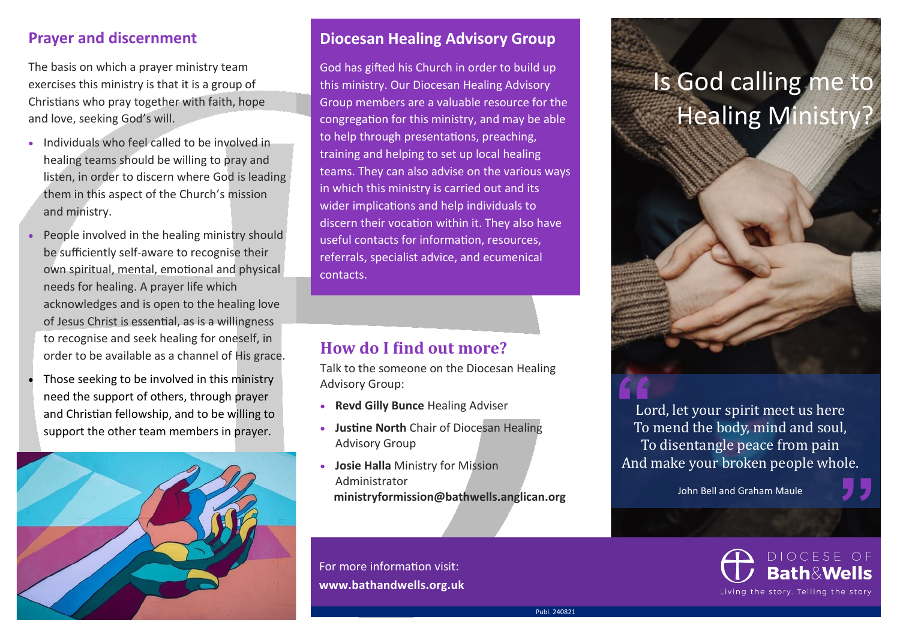## **Prayer and discernment**

The basis on which a prayer ministry team exercises this ministry is that it is a group of Christians who pray together with faith, hope and love, seeking God's will.

- Individuals who feel called to be involved in healing teams should be willing to pray and listen, in order to discern where God is leading them in this aspect of the Church's mission and ministry.
- People involved in the healing ministry should be sufficiently self-aware to recognise their own spiritual, mental, emotional and physical needs for healing. A prayer life which acknowledges and is open to the healing love of Jesus Christ is essential, as is a willingness to recognise and seek healing for oneself, in order to be available as a channel of His grace.
- Those seeking to be involved in this ministry need the support of others, through prayer and Christian fellowship, and to be willing to support the other team members in prayer.



### **Diocesan Healing Advisory Group**

God has gifted his Church in order to build up this ministry. Our Diocesan Healing Advisory Group members are a valuable resource for the congregation for this ministry, and may be able to help through presentations, preaching, training and helping to set up local healing teams. They can also advise on the various ways in which this ministry is carried out and its wider implications and help individuals to discern their vocation within it. They also have useful contacts for information, resources, referrals, specialist advice, and ecumenical contacts.

# **How do I find out more?**

Talk to the someone on the Diocesan Healing Advisory Group:

- **Revd Gilly Bunce** Healing Adviser
- **Justine North** Chair of Diocesan Healing Advisory Group
- **Josie Halla** Ministry for Mission Administrator **ministryformission@bathwells.anglican.org**

For more information visit: **[www.bathandwells.org.uk](http://www.bathandwells.org.uk)**

# Is God calling me to **Healing Ministry**



Lord, let your spirit meet us here To mend the body, mind and soul, To disentangle peace from pain And make your broken people whole. ole.<br>2.<br><sup>: OF</sup>

John Bell and Graham Maule